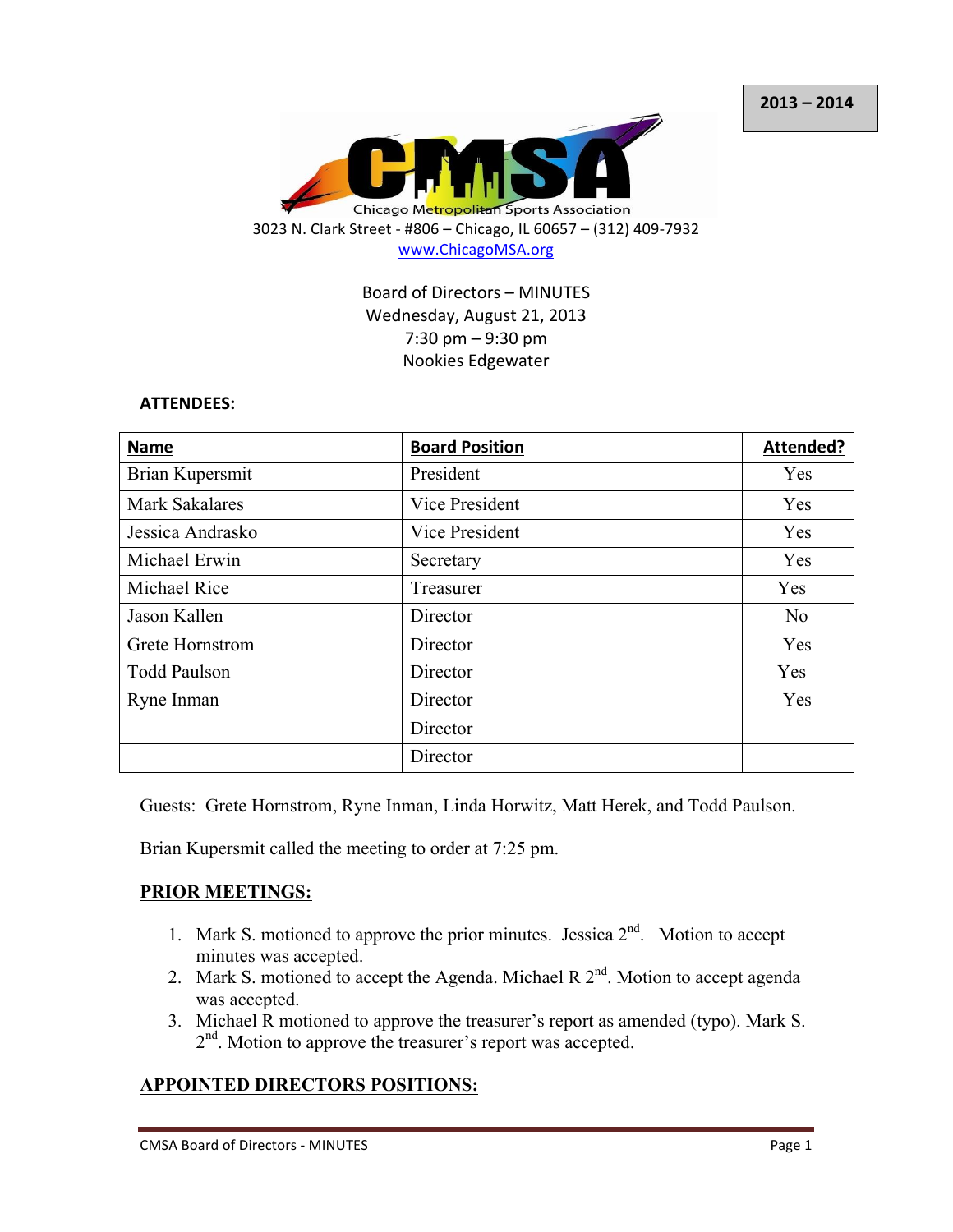

Board of Directors - MINUTES Wednesday, August 21, 2013 7:30 pm  $-9:30$  pm Nookies Edgewater

#### **ATTENDEES:**

| <b>Name</b>           | <b>Board Position</b> | Attended?      |
|-----------------------|-----------------------|----------------|
| Brian Kupersmit       | President             | Yes            |
| <b>Mark Sakalares</b> | Vice President        | Yes            |
| Jessica Andrasko      | Vice President        | Yes            |
| Michael Erwin         | Secretary             | Yes            |
| Michael Rice          | Treasurer             | Yes            |
| Jason Kallen          | Director              | N <sub>o</sub> |
| Grete Hornstrom       | Director              | Yes            |
| <b>Todd Paulson</b>   | Director              | Yes            |
| Ryne Inman            | Director              | Yes            |
|                       | Director              |                |
|                       | Director              |                |

Guests: Grete Hornstrom, Ryne Inman, Linda Horwitz, Matt Herek, and Todd Paulson.

Brian Kupersmit called the meeting to order at 7:25 pm.

## **PRIOR MEETINGS:**

- 1. Mark S. motioned to approve the prior minutes. Jessica  $2<sup>nd</sup>$ . Motion to accept minutes was accepted.
- 2. Mark S. motioned to accept the Agenda. Michael R  $2<sup>nd</sup>$ . Motion to accept agenda was accepted.
- 3. Michael R motioned to approve the treasurer's report as amended (typo). Mark S. 2<sup>nd</sup>. Motion to approve the treasurer's report was accepted.

## **APPOINTED DIRECTORS POSITIONS:**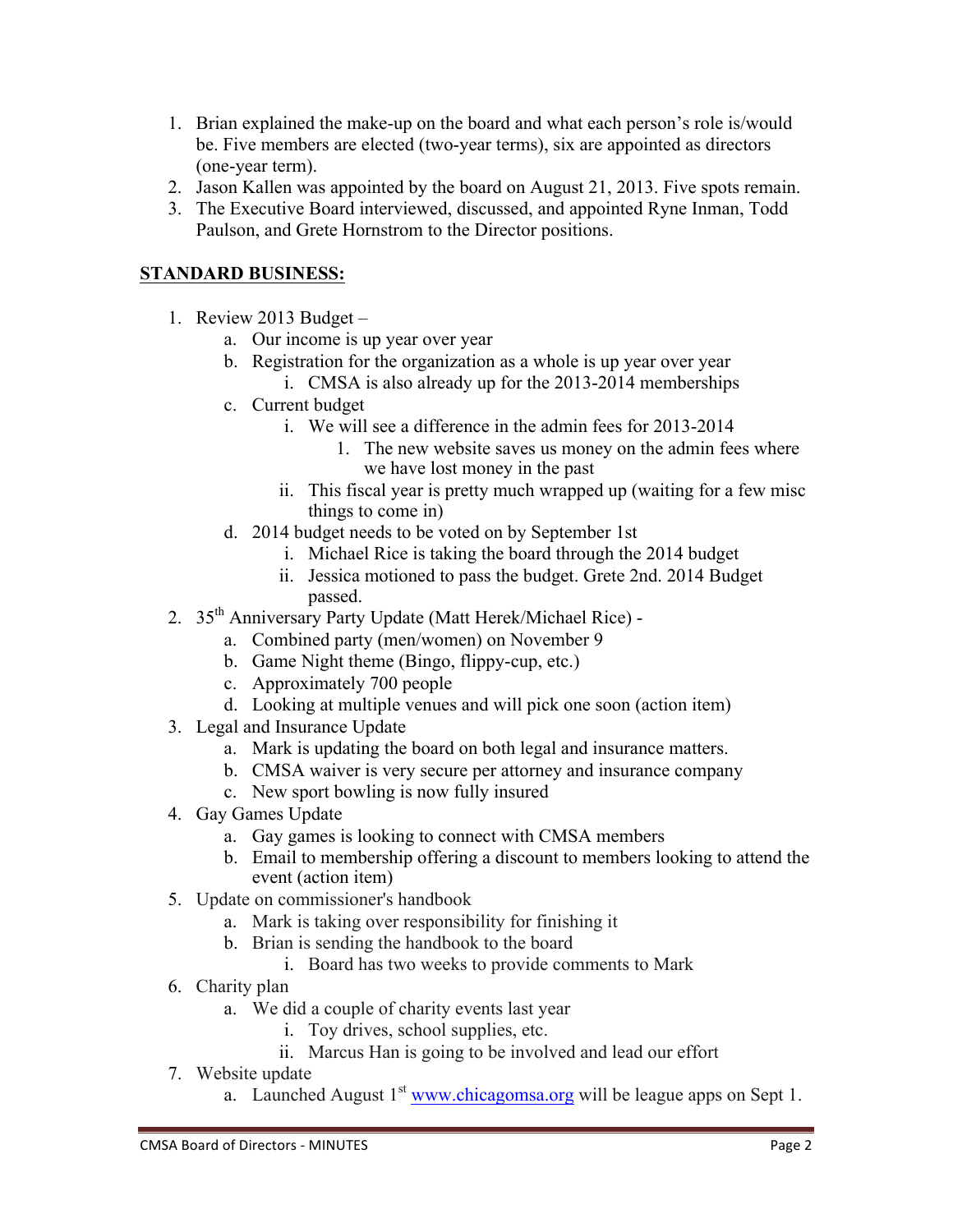- 1. Brian explained the make-up on the board and what each person's role is/would be. Five members are elected (two-year terms), six are appointed as directors (one-year term).
- 2. Jason Kallen was appointed by the board on August 21, 2013. Five spots remain.
- 3. The Executive Board interviewed, discussed, and appointed Ryne Inman, Todd Paulson, and Grete Hornstrom to the Director positions.

# **STANDARD BUSINESS:**

- 1. Review 2013 Budget  $$ 
	- a. Our income is up year over year
	- b. Registration for the organization as a whole is up year over year
		- i. CMSA is also already up for the 2013-2014 memberships
	- c. Current budget
		- i. We will see a difference in the admin fees for 2013-2014
			- 1. The new website saves us money on the admin fees where we have lost money in the past
		- ii. This fiscal year is pretty much wrapped up (waiting for a few misc things to come in)
	- d. 2014 budget needs to be voted on by September 1st
		- i. Michael Rice is taking the board through the 2014 budget
		- ii. Jessica motioned to pass the budget. Grete 2nd. 2014 Budget passed.
- 2. 35<sup>th</sup> Anniversary Party Update (Matt Herek/Michael Rice)
	- a. Combined party (men/women) on November 9
	- b. Game Night theme (Bingo, flippy-cup, etc.)
	- c. Approximately 700 people
	- d. Looking at multiple venues and will pick one soon (action item)
- 3. Legal and Insurance Update
	- a. Mark is updating the board on both legal and insurance matters.
	- b. CMSA waiver is very secure per attorney and insurance company
	- c. New sport bowling is now fully insured
- 4. Gay Games Update
	- a. Gay games is looking to connect with CMSA members
	- b. Email to membership offering a discount to members looking to attend the event (action item)
- 5. Update on commissioner's handbook
	- a. Mark is taking over responsibility for finishing it
	- b. Brian is sending the handbook to the board
		- i. Board has two weeks to provide comments to Mark
- 6. Charity plan
	- a. We did a couple of charity events last year
		- i. Toy drives, school supplies, etc.
		- ii. Marcus Han is going to be involved and lead our effort
- 7. Website update
	- a. Launched August  $1<sup>st</sup>$  www.chicagomsa.org will be league apps on Sept 1.